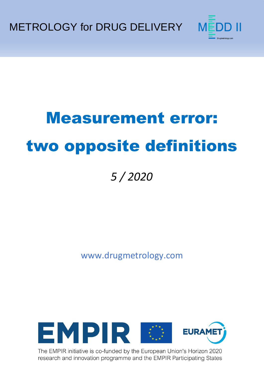METROLOGY for DRUG DELIVERY



# Measurement error: two opposite definitions

## *5 / 2020*

www.drugmetrology.com



The EMPIR initiative is co-funded by the European Union's Horizon 2020 research and innovation programme and the EMPIR Participating States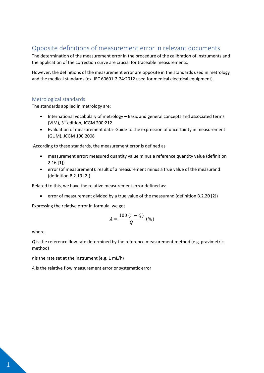### Opposite definitions of measurement error in relevant documents

The determination of the measurement error in the procedure of the calibration of instruments and the application of the correction curve are crucial for traceable measurements.

However, the definitions of the measurement error are opposite in the standards used in metrology and the medical standards (ex. IEC 60601-2-24:2012 used for medical electrical equipment).

#### Metrological standards

The standards applied in metrology are:

- International vocabulary of metrology Basic and general concepts and associated terms (VIM), 3rd edition, JCGM 200:212
- Evaluation of measurement data- Guide to the expression of uncertainty in measurement (GUM), JCGM 100:2008

According to these standards, the measurement error is defined as

- measurement error: measured quantity value minus a reference quantity value (definition 2.16 [1])
- error (of measurement): result of a measurement minus a true value of the measurand (definition B.2.19 [2])

Related to this, we have the relative measurement error defined as:

error of measurement divided by a true value of the measurand (definition B.2.20 [2])

Expressing the relative error in formula, we get

$$
A = \frac{100 (r - Q)}{Q} \, (\%)
$$

where

*Q* is the reference flow rate determined by the reference measurement method (e.g. gravimetric method)

*r* is the rate set at the instrument (e.g. 1 mL/h)

*A* is the relative flow measurement error or systematic error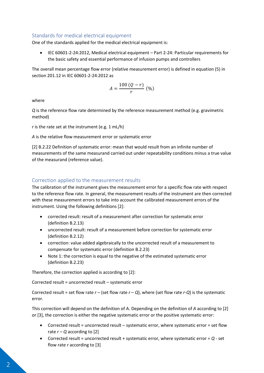#### Standards for medical electrical equipment

One of the standards applied for the medical electrical equipment is:

 IEC 60601-2-24:2012, Medical electrical equipment – Part 2-24: Particular requirements for the basic safety and essential performance of infusion pumps and controllers

The overall mean percentage flow error (relative measurement error) is defined in equation (5) in section 201.12 in IEC 60601-2-24:2012 as

$$
A = \frac{100 (Q - r)}{r} (%)
$$

where

*Q* is the reference flow rate determined by the reference measurement method (e.g. gravimetric method)

*r* is the rate set at the instrument (e.g. 1 mL/h)

*A* is the relative flow measurement error or systematic error

[2] B.2.22 Definition of systematic error: mean that would result from an infinite number of measurements of the same measurand carried out under repeatability conditions minus a true value of the measurand (reference value).

#### Correction applied to the measurement results

The calibration of the instrument gives the measurement error for a specific flow rate with respect to the reference flow rate. In general, the measurement results of the instrument are then corrected with these measurement errors to take into account the calibrated measurement errors of the instrument. Using the following definitions [2]:

- corrected result: result of a measurement after correction for systematic error (definition B.2.13)
- uncorrected result: result of a measurement before correction for systematic error (definition B.2.12)
- correction: value added algebraically to the uncorrected result of a measurement to compensate for systematic error (definition B.2.23)
- Note 1: the correction is equal to the negative of the estimated systematic error (definition B.2.23)

Therefore, the correction applied is according to [2]:

Corrected result = uncorrected result – systematic error

Corrected result = set flow rate  $r -$  (set flow rate  $r - Q$ ), where (set flow rate  $r - Q$ ) is the systematic error.

This correction will depend on the definition of A. Depending on the definition of *A* according to [2] or [3], the correction is either the negative systematic error or the positive systematic error:

- Corrected result = uncorrected result systematic error, where systematic error = set flow rate  $r - Q$  according to [2]
- Corrected result = uncorrected result + systematic error, where systematic error = *Q* set flow rate *r* according to [3]